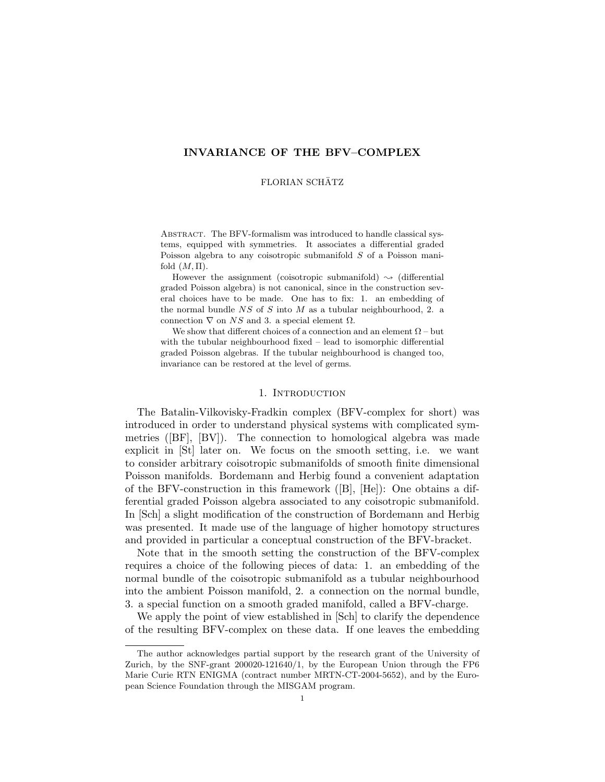## INVARIANCE OF THE BFV–COMPLEX

#### FLORIAN SCHÄTZ

ABSTRACT. The BFV-formalism was introduced to handle classical systems, equipped with symmetries. It associates a differential graded Poisson algebra to any coisotropic submanifold S of a Poisson manifold  $(M, \Pi)$ .

However the assignment (coisotropic submanifold)  $\sim$  (differential graded Poisson algebra) is not canonical, since in the construction several choices have to be made. One has to fix: 1. an embedding of the normal bundle  $NS$  of S into M as a tubular neighbourhood, 2. a connection  $\nabla$  on NS and 3. a special element  $\Omega$ .

We show that different choices of a connection and an element  $\Omega$  – but with the tubular neighbourhood fixed – lead to isomorphic differential graded Poisson algebras. If the tubular neighbourhood is changed too, invariance can be restored at the level of germs.

## 1. INTRODUCTION

The Batalin-Vilkovisky-Fradkin complex (BFV-complex for short) was introduced in order to understand physical systems with complicated symmetries ([BF], [BV]). The connection to homological algebra was made explicit in [St] later on. We focus on the smooth setting, i.e. we want to consider arbitrary coisotropic submanifolds of smooth finite dimensional Poisson manifolds. Bordemann and Herbig found a convenient adaptation of the BFV-construction in this framework ([B], [He]): One obtains a differential graded Poisson algebra associated to any coisotropic submanifold. In [Sch] a slight modification of the construction of Bordemann and Herbig was presented. It made use of the language of higher homotopy structures and provided in particular a conceptual construction of the BFV-bracket.

Note that in the smooth setting the construction of the BFV-complex requires a choice of the following pieces of data: 1. an embedding of the normal bundle of the coisotropic submanifold as a tubular neighbourhood into the ambient Poisson manifold, 2. a connection on the normal bundle, 3. a special function on a smooth graded manifold, called a BFV-charge.

We apply the point of view established in [Sch] to clarify the dependence of the resulting BFV-complex on these data. If one leaves the embedding

The author acknowledges partial support by the research grant of the University of Zurich, by the SNF-grant 200020-121640/1, by the European Union through the FP6 Marie Curie RTN ENIGMA (contract number MRTN-CT-2004-5652), and by the European Science Foundation through the MISGAM program.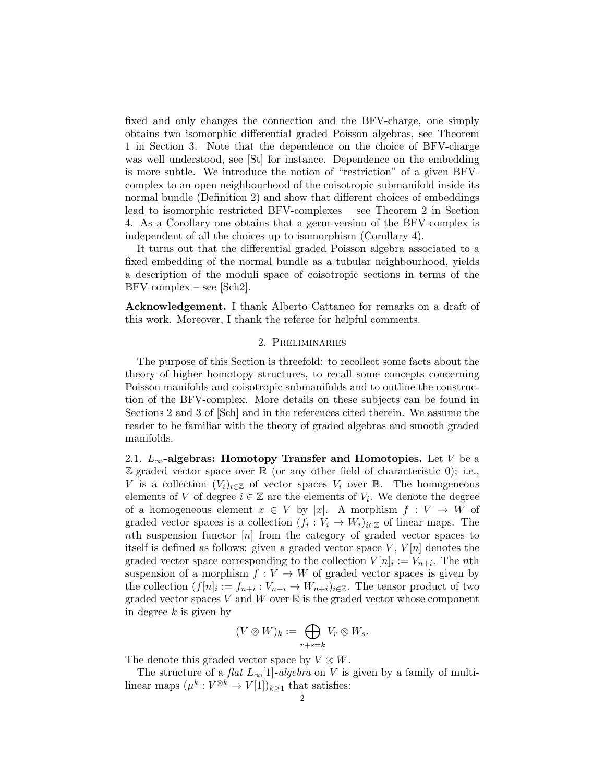fixed and only changes the connection and the BFV-charge, one simply obtains two isomorphic differential graded Poisson algebras, see Theorem 1 in Section 3. Note that the dependence on the choice of BFV-charge was well understood, see [St] for instance. Dependence on the embedding is more subtle. We introduce the notion of "restriction" of a given BFVcomplex to an open neighbourhood of the coisotropic submanifold inside its normal bundle (Definition 2) and show that different choices of embeddings lead to isomorphic restricted BFV-complexes – see Theorem 2 in Section 4. As a Corollary one obtains that a germ-version of the BFV-complex is independent of all the choices up to isomorphism (Corollary 4).

It turns out that the differential graded Poisson algebra associated to a fixed embedding of the normal bundle as a tubular neighbourhood, yields a description of the moduli space of coisotropic sections in terms of the  $BFV$ -complex – see [Sch2].

Acknowledgement. I thank Alberto Cattaneo for remarks on a draft of this work. Moreover, I thank the referee for helpful comments.

## 2. Preliminaries

The purpose of this Section is threefold: to recollect some facts about the theory of higher homotopy structures, to recall some concepts concerning Poisson manifolds and coisotropic submanifolds and to outline the construction of the BFV-complex. More details on these subjects can be found in Sections 2 and 3 of [Sch] and in the references cited therein. We assume the reader to be familiar with the theory of graded algebras and smooth graded manifolds.

2.1.  $L_{\infty}$ -algebras: Homotopy Transfer and Homotopies. Let V be a  $\mathbb{Z}$ -graded vector space over  $\mathbb{R}$  (or any other field of characteristic 0); i.e., V is a collection  $(V_i)_{i\in\mathbb{Z}}$  of vector spaces  $V_i$  over R. The homogeneous elements of V of degree  $i \in \mathbb{Z}$  are the elements of  $V_i$ . We denote the degree of a homogeneous element  $x \in V$  by |x|. A morphism  $f: V \to W$  of graded vector spaces is a collection  $(f_i: V_i \to W_i)_{i \in \mathbb{Z}}$  of linear maps. The nth suspension functor [n] from the category of graded vector spaces to itself is defined as follows: given a graded vector space  $V, V[n]$  denotes the graded vector space corresponding to the collection  $V[n]_i := V_{n+i}$ . The nth suspension of a morphism  $f: V \to W$  of graded vector spaces is given by the collection  $(f[n]_i := f_{n+i} : V_{n+i} \to W_{n+i})_{i \in \mathbb{Z}}$ . The tensor product of two graded vector spaces V and W over  $\mathbb R$  is the graded vector whose component in degree  $k$  is given by

$$
(V \otimes W)_k := \bigoplus_{r+s=k} V_r \otimes W_s.
$$

The denote this graded vector space by  $V \otimes W$ .

The structure of a flat  $L_{\infty}[1]$ -algebra on V is given by a family of multilinear maps  $(\mu^k: V^{\otimes k} \to V[1])_{k \geq 1}$  that satisfies: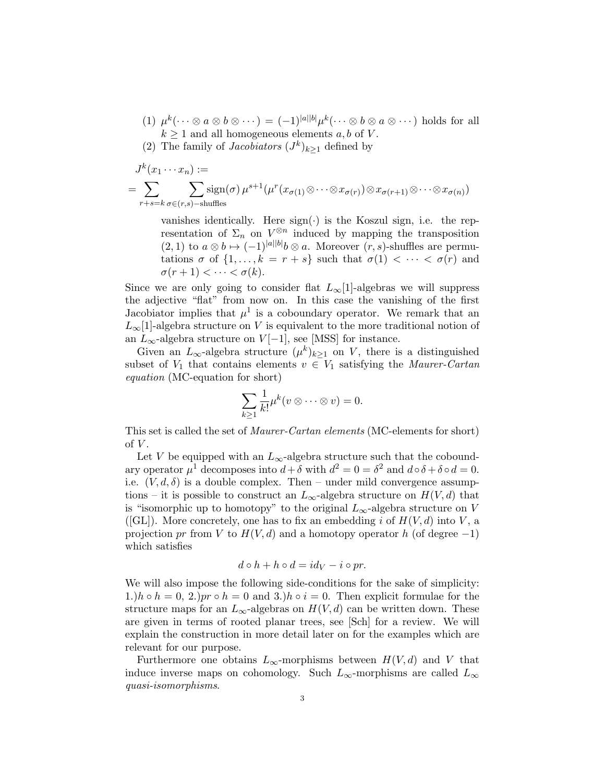- (1)  $\mu^k(\cdots \otimes a \otimes b \otimes \cdots) = (-1)^{|a||b|} \mu^k(\cdots \otimes b \otimes a \otimes \cdots)$  holds for all  $k \geq 1$  and all homogeneous elements a, b of V.
- (2) The family of *Jacobiators*  $(J^k)_{k\geq 1}$  defined by

$$
J^{k}(x_{1} \cdots x_{n}) :=
$$
  
= 
$$
\sum_{r+s=k} \sum_{\sigma \in (r,s)-s} \operatorname{sign}(\sigma) \mu^{s+1} (\mu^{r}(x_{\sigma(1)} \otimes \cdots \otimes x_{\sigma(r)}) \otimes x_{\sigma(r+1)} \otimes \cdots \otimes x_{\sigma(n)})
$$

vanishes identically. Here  $sign(\cdot)$  is the Koszul sign, i.e. the representation of  $\Sigma_n$  on  $V^{\otimes n}$  induced by mapping the transposition  $(2,1)$  to  $a\otimes b\mapsto (-1)^{|a||b|}b\otimes a$ . Moreover  $(r, s)$ -shuffles are permutations  $\sigma$  of  $\{1, \ldots, k = r + s\}$  such that  $\sigma(1) < \cdots < \sigma(r)$  and  $\sigma(r+1) < \cdots < \sigma(k).$ 

Since we are only going to consider flat  $L_{\infty}[1]$ -algebras we will suppress the adjective "flat" from now on. In this case the vanishing of the first Jacobiator implies that  $\mu^1$  is a coboundary operator. We remark that an  $L_{\infty}[1]$ -algebra structure on V is equivalent to the more traditional notion of an  $L_{\infty}$ -algebra structure on  $V[-1]$ , see [MSS] for instance.

Given an  $L_{\infty}$ -algebra structure  $(\mu^k)_{k\geq 1}$  on V, there is a distinguished subset of  $V_1$  that contains elements  $v \in V_1$  satisfying the *Maurer-Cartan* equation (MC-equation for short)

$$
\sum_{k\geq 1}\frac{1}{k!}\mu^k(v\otimes\cdots\otimes v)=0.
$$

This set is called the set of Maurer-Cartan elements (MC-elements for short) of  $V$ .

Let V be equipped with an  $L_{\infty}$ -algebra structure such that the coboundary operator  $\mu^1$  decomposes into  $d + \delta$  with  $d^2 = 0 = \delta^2$  and  $d \circ \delta + \delta \circ d = 0$ . i.e.  $(V, d, \delta)$  is a double complex. Then – under mild convergence assumptions – it is possible to construct an  $L_{\infty}$ -algebra structure on  $H(V, d)$  that is "isomorphic up to homotopy" to the original  $L_{\infty}$ -algebra structure on V ([GL]). More concretely, one has to fix an embedding i of  $H(V, d)$  into V, a projection pr from V to  $H(V, d)$  and a homotopy operator h (of degree -1) which satisfies

$$
d \circ h + h \circ d = id_V - i \circ pr.
$$

We will also impose the following side-conditions for the sake of simplicity: 1.)h ∘ h = 0, 2.)pr ∘ h = 0 and 3.)h ∘ i = 0. Then explicit formulae for the structure maps for an  $L_{\infty}$ -algebras on  $H(V, d)$  can be written down. These are given in terms of rooted planar trees, see [Sch] for a review. We will explain the construction in more detail later on for the examples which are relevant for our purpose.

Furthermore one obtains  $L_{\infty}$ -morphisms between  $H(V, d)$  and V that induce inverse maps on cohomology. Such  $L_{\infty}$ -morphisms are called  $L_{\infty}$ quasi-isomorphisms.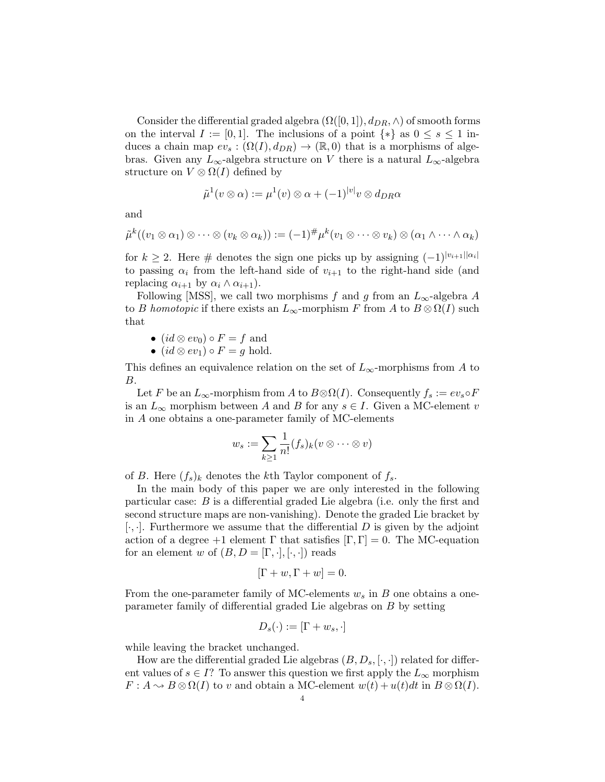Consider the differential graded algebra  $(\Omega([0,1]), d_{DR}, \wedge)$  of smooth forms on the interval  $I := [0, 1]$ . The inclusions of a point  $\{*\}$  as  $0 \le s \le 1$  induces a chain map  $ev_s : (\Omega(I), d_{DR}) \to (\mathbb{R}, 0)$  that is a morphisms of algebras. Given any  $L_{\infty}$ -algebra structure on V there is a natural  $L_{\infty}$ -algebra structure on  $V \otimes \Omega(I)$  defined by

$$
\tilde{\mu}^1(v \otimes \alpha) := \mu^1(v) \otimes \alpha + (-1)^{|v|} v \otimes d_{DR}\alpha
$$

and

$$
\tilde{\mu}^k((v_1 \otimes \alpha_1) \otimes \cdots \otimes (v_k \otimes \alpha_k)) := (-1)^{\#} \mu^k(v_1 \otimes \cdots \otimes v_k) \otimes (\alpha_1 \wedge \cdots \wedge \alpha_k)
$$

for  $k \geq 2$ . Here # denotes the sign one picks up by assigning  $(-1)^{|v_{i+1}||\alpha_i|}$ to passing  $\alpha_i$  from the left-hand side of  $v_{i+1}$  to the right-hand side (and replacing  $\alpha_{i+1}$  by  $\alpha_i \wedge \alpha_{i+1}$ ).

Following [MSS], we call two morphisms f and g from an  $L_{\infty}$ -algebra A to B homotopic if there exists an  $L_{\infty}$ -morphism F from A to  $B \otimes \Omega(I)$  such that

$$
\bullet\,\left( id\otimes ev_{0}\right) \circ F=f\,\text{ and }\\
$$

• 
$$
(id \otimes ev_1) \circ F = g
$$
 hold.

This defines an equivalence relation on the set of  $L_{\infty}$ -morphisms from A to B.

Let F be an  $L_{\infty}$ -morphism from A to  $B \otimes \Omega(I)$ . Consequently  $f_s := ev_s \circ F$ is an  $L_{\infty}$  morphism between A and B for any  $s \in I$ . Given a MC-element v in A one obtains a one-parameter family of MC-elements

$$
w_s := \sum_{k \geq 1} \frac{1}{n!} (f_s)_k (v \otimes \dots \otimes v)
$$

of B. Here  $(f_s)_k$  denotes the kth Taylor component of  $f_s$ .

In the main body of this paper we are only interested in the following particular case: B is a differential graded Lie algebra (i.e. only the first and second structure maps are non-vanishing). Denote the graded Lie bracket by  $[\cdot, \cdot]$ . Furthermore we assume that the differential D is given by the adjoint action of a degree  $+1$  element  $\Gamma$  that satisfies  $[\Gamma, \Gamma] = 0$ . The MC-equation for an element w of  $(B, D = [\Gamma, \cdot], [\cdot, \cdot])$  reads

$$
[\Gamma + w, \Gamma + w] = 0.
$$

From the one-parameter family of MC-elements  $w_s$  in B one obtains a oneparameter family of differential graded Lie algebras on B by setting

$$
D_s(\cdot):=[\Gamma+w_s,\cdot]
$$

while leaving the bracket unchanged.

How are the differential graded Lie algebras  $(B, D<sub>s</sub>, [\cdot, \cdot])$  related for different values of  $s \in I$ ? To answer this question we first apply the  $L_{\infty}$  morphism  $F: A \rightarrow B \otimes \Omega(I)$  to v and obtain a MC-element  $w(t) + u(t)dt$  in  $B \otimes \Omega(I)$ .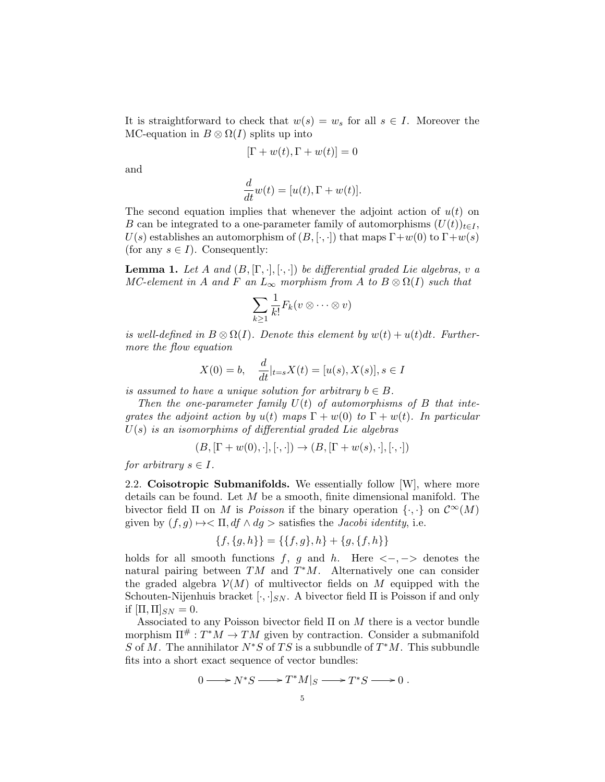It is straightforward to check that  $w(s) = w_s$  for all  $s \in I$ . Moreover the MC-equation in  $B \otimes \Omega(I)$  splits up into

$$
[\Gamma + w(t), \Gamma + w(t)] = 0
$$

and

$$
\frac{d}{dt}w(t) = [u(t), \Gamma + w(t)].
$$

The second equation implies that whenever the adjoint action of  $u(t)$  on B can be integrated to a one-parameter family of automorphisms  $(U(t))_{t\in I}$ ,  $U(s)$  establishes an automorphism of  $(B, [\cdot, \cdot])$  that maps  $\Gamma + w(0)$  to  $\Gamma + w(s)$ (for any  $s \in I$ ). Consequently:

**Lemma 1.** Let A and  $(B, [\Gamma, \cdot], [\cdot, \cdot])$  be differential graded Lie algebras, v a MC-element in A and F an  $L_{\infty}$  morphism from A to  $B \otimes \Omega(I)$  such that

$$
\sum_{k\geq 1}\frac{1}{k!}F_k(v\otimes\cdots\otimes v)
$$

is well-defined in  $B \otimes \Omega(I)$ . Denote this element by  $w(t) + u(t)dt$ . Furthermore the flow equation

$$
X(0) = b, \quad \frac{d}{dt}|_{t=s} X(t) = [u(s), X(s)], s \in I
$$

is assumed to have a unique solution for arbitrary  $b \in B$ .

Then the one-parameter family  $U(t)$  of automorphisms of B that integrates the adjoint action by  $u(t)$  maps  $\Gamma + w(0)$  to  $\Gamma + w(t)$ . In particular  $U(s)$  is an isomorphims of differential graded Lie algebras

 $(B, [\Gamma + w(0), \cdot], [\cdot, \cdot]) \to (B, [\Gamma + w(s), \cdot], [\cdot, \cdot])$ 

for arbitrary  $s \in I$ .

2.2. Coisotropic Submanifolds. We essentially follow [W], where more details can be found. Let M be a smooth, finite dimensional manifold. The bivector field  $\Pi$  on M is Poisson if the binary operation  $\{\cdot,\cdot\}$  on  $\mathcal{C}^{\infty}(M)$ given by  $(f, g) \mapsto \Pi$ ,  $df \wedge dg$  > satisfies the *Jacobi identity*, i.e.

$$
\{f, \{g, h\}\} = \{\{f, g\}, h\} + \{g, \{f, h\}\}\
$$

holds for all smooth functions f, g and h. Here  $\langle -,- \rangle$  denotes the natural pairing between  $TM$  and  $T^*M$ . Alternatively one can consider the graded algebra  $\mathcal{V}(M)$  of multivector fields on M equipped with the Schouten-Nijenhuis bracket  $[\cdot, \cdot]_{SN}$ . A bivector field  $\Pi$  is Poisson if and only if  $[\Pi,\Pi]_{SN} = 0.$ 

Associated to any Poisson bivector field  $\Pi$  on  $M$  there is a vector bundle morphism  $\Pi^{\#}: T^*M \to TM$  given by contraction. Consider a submanifold S of M. The annihilator  $N^*S$  of TS is a subbundle of  $T^*M$ . This subbundle fits into a short exact sequence of vector bundles:

$$
0 \longrightarrow N^*S \longrightarrow T^*M|_S \longrightarrow T^*S \longrightarrow 0.
$$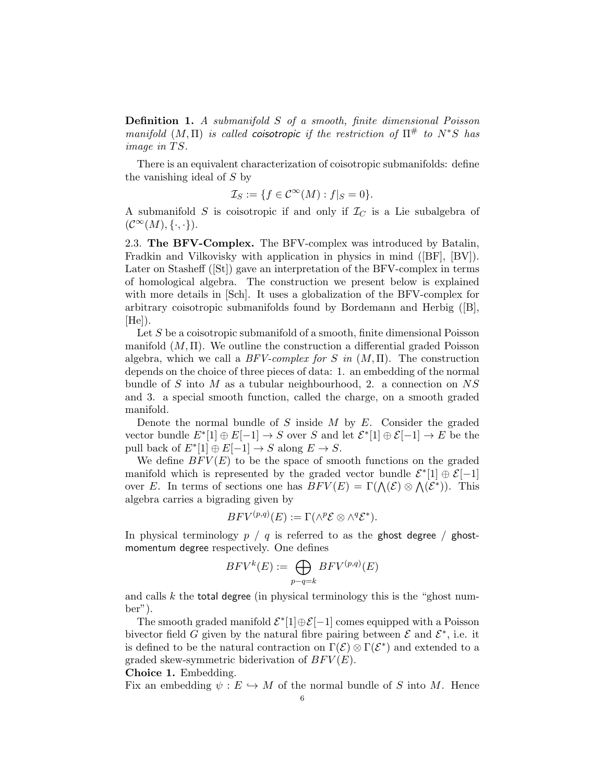Definition 1. A submanifold S of a smooth, finite dimensional Poisson manifold  $(M, \Pi)$  is called coisotropic if the restriction of  $\Pi^{\#}$  to  $N^*S$  has image in  $TS$ .

There is an equivalent characterization of coisotropic submanifolds: define the vanishing ideal of S by

$$
\mathcal{I}_S := \{ f \in \mathcal{C}^\infty(M) : f|_S = 0 \}.
$$

A submanifold  $S$  is coisotropic if and only if  $\mathcal{I}_C$  is a Lie subalgebra of  $(\mathcal{C}^{\infty}(M), \{\cdot, \cdot\}).$ 

2.3. The BFV-Complex. The BFV-complex was introduced by Batalin, Fradkin and Vilkovisky with application in physics in mind ([BF], [BV]). Later on Stasheff ([St]) gave an interpretation of the BFV-complex in terms of homological algebra. The construction we present below is explained with more details in [Sch]. It uses a globalization of the BFV-complex for arbitrary coisotropic submanifolds found by Bordemann and Herbig ([B],  $[He]$ ).

Let S be a coisotropic submanifold of a smooth, finite dimensional Poisson manifold  $(M, \Pi)$ . We outline the construction a differential graded Poisson algebra, which we call a  $BFV\text{-}complex for S$  in  $(M, \Pi)$ . The construction depends on the choice of three pieces of data: 1. an embedding of the normal bundle of S into M as a tubular neighbourhood, 2. a connection on  $NS$ and 3. a special smooth function, called the charge, on a smooth graded manifold.

Denote the normal bundle of  $S$  inside  $M$  by  $E$ . Consider the graded vector bundle  $E^*[1] \oplus E[-1] \to S$  over S and let  $\mathcal{E}^*[1] \oplus \mathcal{E}[-1] \to E$  be the pull back of  $E^*[1] \oplus E[-1] \to S$  along  $E \to S$ .

We define  $BFV(E)$  to be the space of smooth functions on the graded manifold which is represented by the graded vector bundle  $\mathcal{E}^*[1] \oplus \mathcal{E}[-1]$ over E. In terms of sections one has  $BFV(E) = \Gamma(\Lambda(\mathcal{E}) \otimes \Lambda(\mathcal{E}^*))$ . This algebra carries a bigrading given by

$$
BFV^{(p,q)}(E) := \Gamma(\wedge^p \mathcal{E} \otimes \wedge^q \mathcal{E}^*).
$$

In physical terminology  $p / q$  is referred to as the ghost degree / ghostmomentum degree respectively. One defines

$$
BFV^k(E):=\bigoplus_{p-q=k}BFV^{(p,q)}(E)
$$

and calls  $k$  the total degree (in physical terminology this is the "ghost number").

The smooth graded manifold  $\mathcal{E}^*[1]\oplus \mathcal{E}[-1]$  comes equipped with a Poisson bivector field G given by the natural fibre pairing between  $\mathcal E$  and  $\mathcal E^*$ , i.e. it is defined to be the natural contraction on  $\Gamma(\mathcal{E}) \otimes \Gamma(\mathcal{E}^*)$  and extended to a graded skew-symmetric biderivation of  $BFV(E)$ .

Choice 1. Embedding.

Fix an embedding  $\psi : E \hookrightarrow M$  of the normal bundle of S into M. Hence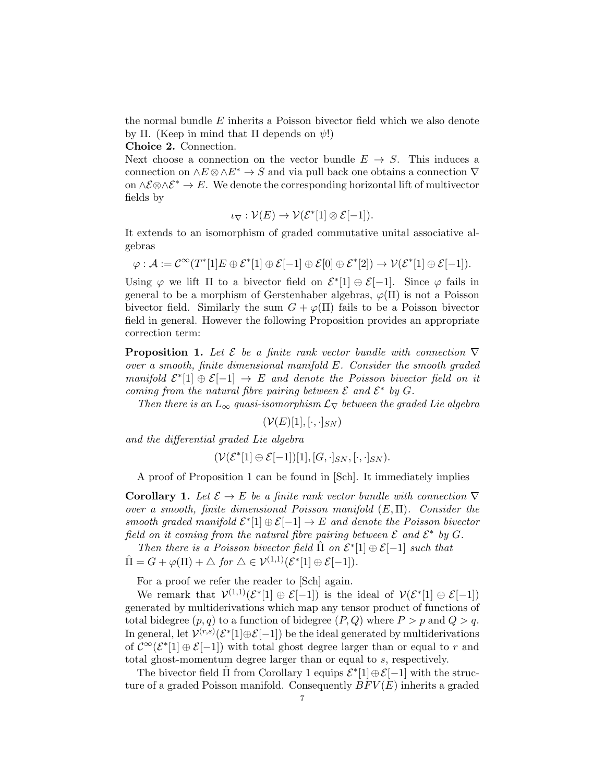the normal bundle E inherits a Poisson bivector field which we also denote by Π. (Keep in mind that Π depends on  $ψ$ !)

Choice 2. Connection.

Next choose a connection on the vector bundle  $E \to S$ . This induces a connection on  $\wedge E \otimes \wedge E^* \to S$  and via pull back one obtains a connection  $\nabla$ on  $\land$   $\mathcal{E} \otimes \land \mathcal{E}^*$  → E. We denote the corresponding horizontal lift of multivector fields by

$$
\iota_{\nabla} : \mathcal{V}(E) \to \mathcal{V}(\mathcal{E}^*[1] \otimes \mathcal{E}[-1]).
$$

It extends to an isomorphism of graded commutative unital associative algebras

$$
\varphi: \mathcal{A}:=\mathcal{C}^{\infty}(T^{*}[1]E\oplus \mathcal{E}^{*}[1]\oplus \mathcal{E}[-1]\oplus \mathcal{E}[0]\oplus \mathcal{E}^{*}[2]) \to \mathcal{V}(\mathcal{E}^{*}[1]\oplus \mathcal{E}[-1]).
$$

Using  $\varphi$  we lift  $\Pi$  to a bivector field on  $\mathcal{E}^*[1] \oplus \mathcal{E}[-1]$ . Since  $\varphi$  fails in general to be a morphism of Gerstenhaber algebras,  $\varphi(\Pi)$  is not a Poisson bivector field. Similarly the sum  $G + \varphi(\Pi)$  fails to be a Poisson bivector field in general. However the following Proposition provides an appropriate correction term:

**Proposition 1.** Let  $\mathcal{E}$  be a finite rank vector bundle with connection  $\nabla$ over a smooth, finite dimensional manifold E. Consider the smooth graded manifold  $\mathcal{E}^*[1] \oplus \mathcal{E}[-1] \rightarrow E$  and denote the Poisson bivector field on it coming from the natural fibre pairing between  $\mathcal E$  and  $\mathcal E^*$  by  $G$ .

Then there is an  $L_{\infty}$  quasi-isomorphism  $\mathcal{L}_{\nabla}$  between the graded Lie algebra

$$
(\mathcal{V}(E)[1],[\cdot,\cdot]_{SN})
$$

and the differential graded Lie algebra

$$
(\mathcal{V}(\mathcal{E}^*[1]\oplus \mathcal{E}[-1])[1],[G,\cdot]_{SN},[\cdot,\cdot]_{SN}).
$$

A proof of Proposition 1 can be found in [Sch]. It immediately implies

**Corollary 1.** Let  $\mathcal{E} \to E$  be a finite rank vector bundle with connection  $\nabla$ over a smooth, finite dimensional Poisson manifold  $(E,\Pi)$ . Consider the smooth graded manifold  $\mathcal{E}^*[1] \oplus \mathcal{E}[-1] \to E$  and denote the Poisson bivector field on it coming from the natural fibre pairing between  $\mathcal E$  and  $\mathcal E^*$  by  $G$ .

Then there is a Poisson bivector field  $\hat{\Pi}$  on  $\mathcal{E}^*[1] \oplus \mathcal{E}[-1]$  such that  $\hat{\Pi} = G + \varphi(\Pi) + \triangle$  for  $\triangle \in \mathcal{V}^{(1,1)}(\mathcal{E}^*[\mathbb{1}] \oplus \mathcal{E}[-1]).$ 

For a proof we refer the reader to [Sch] again.

We remark that  $V^{(1,1)}(\mathcal{E}^*[1] \oplus \mathcal{E}[-1])$  is the ideal of  $V(\mathcal{E}^*[1] \oplus \mathcal{E}[-1])$ generated by multiderivations which map any tensor product of functions of total bidegree  $(p, q)$  to a function of bidegree  $(P, Q)$  where  $P > p$  and  $Q > q$ . In general, let  $\mathcal{V}^{(r,s)}(\mathcal{E}^*[1]\oplus \mathcal{E}[-1])$  be the ideal generated by multiderivations of  $\mathcal{C}^{\infty}(\mathcal{E}^*[1] \oplus \mathcal{E}[-1])$  with total ghost degree larger than or equal to r and total ghost-momentum degree larger than or equal to s, respectively.

The bivector field  $\hat{\Pi}$  from Corollary 1 equips  $\mathcal{E}^*[1] \oplus \mathcal{E}[-1]$  with the structure of a graded Poisson manifold. Consequently  $BFV(E)$  inherits a graded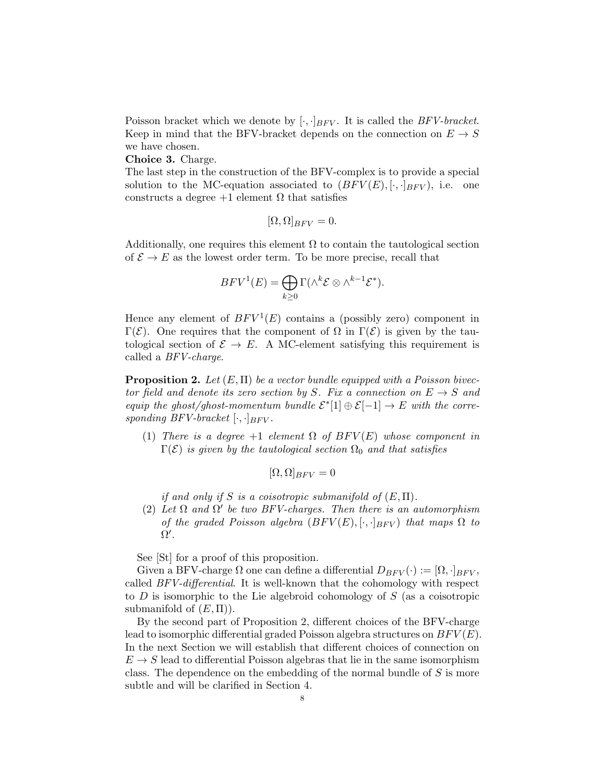Poisson bracket which we denote by  $[\cdot, \cdot]_{BFV}$ . It is called the *BFV-bracket*. Keep in mind that the BFV-bracket depends on the connection on  $E \to S$ we have chosen.

Choice 3. Charge.

The last step in the construction of the BFV-complex is to provide a special solution to the MC-equation associated to  $(BFV(E), [\cdot, \cdot]_{BFV})$ , i.e. one constructs a degree  $+1$  element  $\Omega$  that satisfies

$$
[\Omega,\Omega]_{BFV}=0.
$$

Additionally, one requires this element  $\Omega$  to contain the tautological section of  $\mathcal{E} \to E$  as the lowest order term. To be more precise, recall that

$$
BFV^{1}(E) = \bigoplus_{k \geq 0} \Gamma(\wedge^{k} \mathcal{E} \otimes \wedge^{k-1} \mathcal{E}^{*}).
$$

Hence any element of  $BFV^1(E)$  contains a (possibly zero) component in Γ(E). One requires that the component of  $\Omega$  in  $\Gamma(\mathcal{E})$  is given by the tautological section of  $\mathcal{E} \to E$ . A MC-element satisfying this requirement is called a BFV-charge.

**Proposition 2.** Let  $(E, \Pi)$  be a vector bundle equipped with a Poisson bivector field and denote its zero section by S. Fix a connection on  $E \to S$  and equip the ghost/ghost-momentum bundle  $\mathcal{E}^*[1] \oplus \mathcal{E}[-1] \to E$  with the corresponding BFV-bracket  $[\cdot, \cdot]_{BFV}$ .

(1) There is a degree  $+1$  element  $\Omega$  of  $BFV(E)$  whose component in  $\Gamma(\mathcal{E})$  is given by the tautological section  $\Omega_0$  and that satisfies

$$
[\Omega,\Omega]_{BFV}=0
$$

if and only if S is a coisotropic submanifold of  $(E,\Pi)$ .

(2) Let  $\Omega$  and  $\Omega'$  be two BFV-charges. Then there is an automorphism of the graded Poisson algebra  $(BFV(E), [\cdot, \cdot]_{BFV})$  that maps  $\Omega$  to  $\Omega^{\prime}$ .

See [St] for a proof of this proposition.

Given a BFV-charge  $\Omega$  one can define a differential  $D_{BFV}(\cdot) := [\Omega, \cdot]_{BFV}$ , called BFV-differential. It is well-known that the cohomology with respect to  $D$  is isomorphic to the Lie algebroid cohomology of  $S$  (as a coisotropic submanifold of  $(E,\Pi)$ ).

By the second part of Proposition 2, different choices of the BFV-charge lead to isomorphic differential graded Poisson algebra structures on  $BFV(E)$ . In the next Section we will establish that different choices of connection on  $E \to S$  lead to differential Poisson algebras that lie in the same isomorphism class. The dependence on the embedding of the normal bundle of  $S$  is more subtle and will be clarified in Section 4.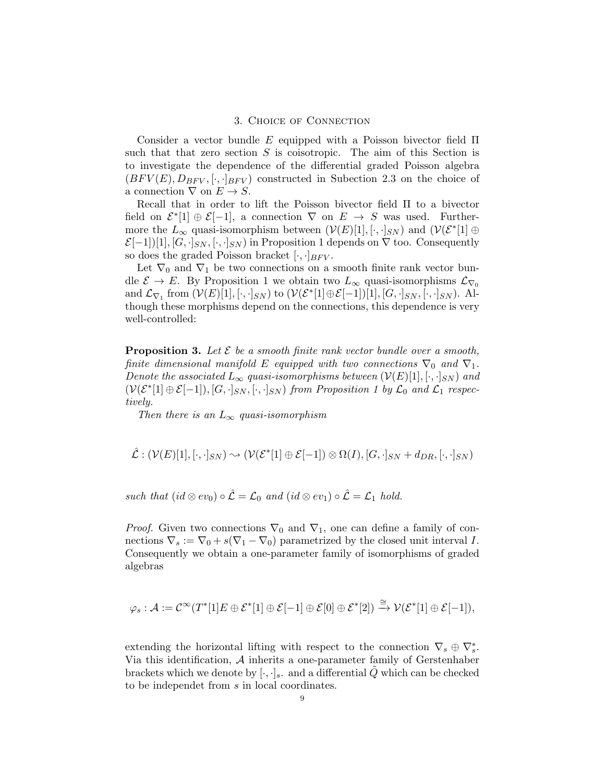## 3. Choice of Connection

Consider a vector bundle E equipped with a Poisson bivector field  $\Pi$ such that that zero section  $S$  is coisotropic. The aim of this Section is to investigate the dependence of the differential graded Poisson algebra  $(BFV(E), D_{BFV}, [\cdot, \cdot]_{BFV})$  constructed in Subection 2.3 on the choice of a connection  $\nabla$  on  $E \to S$ .

Recall that in order to lift the Poisson bivector field Π to a bivector field on  $\mathcal{E}^*[1] \oplus \mathcal{E}[-1]$ , a connection  $\nabla$  on  $E \to S$  was used. Furthermore the  $L_{\infty}$  quasi-isomorphism between  $(V(E)[1], [\cdot, \cdot]_{SN})$  and  $(V(\mathcal{E}^*[1] \oplus$  $\mathcal{E}[-1][1], [G, \cdot]_{SN}, [\cdot, \cdot]_{SN}$  in Proposition 1 depends on  $\nabla$  too. Consequently so does the graded Poisson bracket  $[\cdot, \cdot]_{BFV}$ .

Let  $\nabla_0$  and  $\nabla_1$  be two connections on a smooth finite rank vector bundle  $\mathcal{E} \to E$ . By Proposition 1 we obtain two  $L_{\infty}$  quasi-isomorphisms  $\mathcal{L}_{\nabla_0}$ and  $\mathcal{L}_{\nabla_1}$  from  $(\mathcal{V}(E)[1], [\cdot, \cdot]_{SN})$  to  $(\mathcal{V}(\mathcal{E}^*[1]\oplus \mathcal{E}[-1])[1], [G, \cdot]_{SN}, [\cdot, \cdot]_{SN})$ . Although these morphisms depend on the connections, this dependence is very well-controlled:

**Proposition 3.** Let  $\mathcal{E}$  be a smooth finite rank vector bundle over a smooth, finite dimensional manifold E equipped with two connections  $\nabla_0$  and  $\nabla_1$ . Denote the associated  $L_{\infty}$  quasi-isomorphisms between  $(\mathcal{V}(E)[1], [\cdot, \cdot]_{SN})$  and  $(V(\mathcal{E}^*[1] \oplus \mathcal{E}[-1]), [G, \cdot]_{SN}, [\cdot, \cdot]_{SN})$  from Proposition 1 by  $\mathcal{L}_0$  and  $\mathcal{L}_1$  respectively.

Then there is an  $L_{\infty}$  quasi-isomorphism

$$
\hat{\mathcal{L}}: (\mathcal{V}(E)[1], [\cdot, \cdot]_{SN}) \sim (\mathcal{V}(\mathcal{E}^*[1] \oplus \mathcal{E}[-1]) \otimes \Omega(I), [G, \cdot]_{SN} + d_{DR}, [\cdot, \cdot]_{SN})
$$

such that  $(id \otimes ev_0) \circ \mathcal{L} = \mathcal{L}_0$  and  $(id \otimes ev_1) \circ \mathcal{L} = \mathcal{L}_1$  hold.

*Proof.* Given two connections  $\nabla_0$  and  $\nabla_1$ , one can define a family of connections  $\nabla_s := \nabla_0 + s(\nabla_1 - \nabla_0)$  parametrized by the closed unit interval I. Consequently we obtain a one-parameter family of isomorphisms of graded algebras

$$
\varphi_s: \mathcal{A} := \mathcal{C}^\infty(T^*[1]E \oplus \mathcal{E}^*[1] \oplus \mathcal{E}[-1] \oplus \mathcal{E}[0] \oplus \mathcal{E}^*[2]) \xrightarrow{\cong} \mathcal{V}(\mathcal{E}^*[1] \oplus \mathcal{E}[-1]),
$$

extending the horizontal lifting with respect to the connection  $\nabla_s \oplus \nabla_s^*$ . Via this identification,  $A$  inherits a one-parameter family of Gerstenhaber brackets which we denote by  $[\cdot, \cdot]_s$ . and a differential Q which can be checked to be independet from s in local coordinates.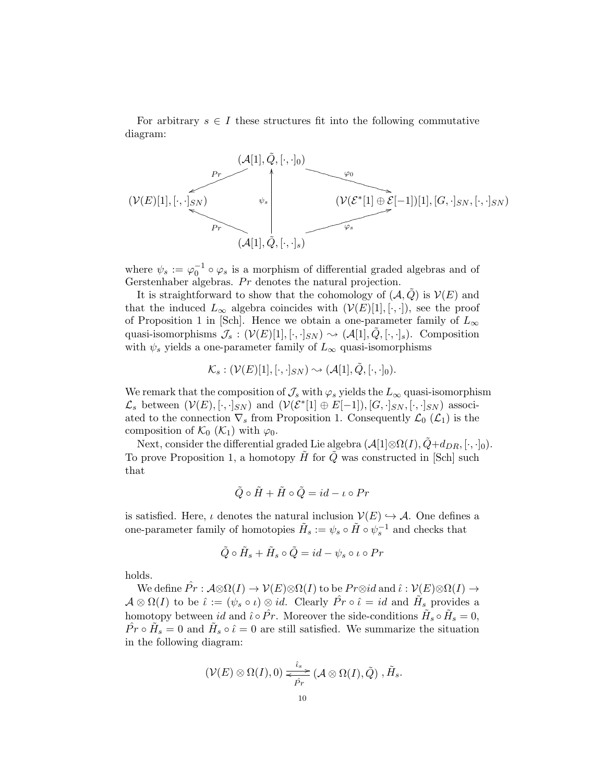For arbitrary  $s \in I$  these structures fit into the following commutative diagram:



where  $\psi_s := \varphi_0^{-1} \circ \varphi_s$  is a morphism of differential graded algebras and of Gerstenhaber algebras.  $Pr$  denotes the natural projection.

It is straightforward to show that the cohomology of  $(\mathcal{A}, Q)$  is  $\mathcal{V}(E)$  and that the induced  $L_{\infty}$  algebra coincides with  $(\mathcal{V}(E)[1], [\cdot, \cdot])$ , see the proof of Proposition 1 in [Sch]. Hence we obtain a one-parameter family of  $L_{\infty}$ quasi-isomorphisms  $\mathcal{J}_s : (\mathcal{V}(E)[1], [\cdot, \cdot]_{SN}) \rightsquigarrow (\mathcal{A}[1], Q, [\cdot, \cdot]_s)$ . Composition with  $\psi_s$  yields a one-parameter family of  $L_{\infty}$  quasi-isomorphisms

$$
\mathcal{K}_s: (\mathcal{V}(E)[1],[\cdot,\cdot]_{SN}) \sim (\mathcal{A}[1],\tilde{Q},[\cdot,\cdot]_0).
$$

We remark that the composition of  $\mathcal{J}_s$  with  $\varphi_s$  yields the  $L_\infty$  quasi-isomorphism  $\mathcal{L}_s$  between  $(\mathcal{V}(E), [\cdot,\cdot]_{SN})$  and  $(\mathcal{V}(\mathcal{E}^*[1] \oplus E[-1]), [G,\cdot]_{SN}, [\cdot,\cdot]_{SN})$  associated to the connection  $\nabla_s$  from Proposition 1. Consequently  $\mathcal{L}_0(\mathcal{L}_1)$  is the composition of  $\mathcal{K}_0$  ( $\mathcal{K}_1$ ) with  $\varphi_0$ .

Next, consider the differential graded Lie algebra  $(\mathcal{A}[1]\otimes \Omega(I), \tilde{Q}+d_{DR}, [\cdot, \cdot]_0)$ . To prove Proposition 1, a homotopy  $\tilde{H}$  for  $\tilde{Q}$  was constructed in [Sch] such that

$$
\tilde{Q} \circ \tilde{H} + \tilde{H} \circ \tilde{Q} = id - \iota \circ Pr
$$

is satisfied. Here,  $\iota$  denotes the natural inclusion  $\mathcal{V}(E) \hookrightarrow \mathcal{A}$ . One defines a one-parameter family of homotopies  $\tilde{H}_s := \psi_s \circ \tilde{H} \circ \psi_s^{-1}$  and checks that

$$
\tilde{Q}\circ\tilde{H}_s+\tilde{H}_s\circ\tilde{Q}=id-\psi_s\circ\iota\circ Pr
$$

holds.

We define  $\hat{Pr}$ :  $\mathcal{A} \otimes \Omega(I) \to \mathcal{V}(E) \otimes \Omega(I)$  to be  $Pr \otimes id$  and  $\hat{\iota}: \mathcal{V}(E) \otimes \Omega(I) \to$  $\mathcal{A}\otimes\Omega(I)$  to be  $\hat{\iota}:=(\psi_s\circ\iota)\otimes id$ . Clearly  $\hat{Pr}\circ\hat{\iota}=id$  and  $\tilde{H}_s$  provides a homotopy between id and  $\hat{\iota} \circ \hat{Pr}$ . Moreover the side-conditions  $\tilde{H}_s \circ \tilde{H}_s = 0$ ,  $\hat{Pr} \circ \tilde{H}_s = 0$  and  $\tilde{H}_s \circ \hat{\iota} = 0$  are still satisfied. We summarize the situation in the following diagram:

$$
(\mathcal{V}(E)\otimes \Omega(I),0)\xrightarrow{\hat{\iota}_s} (\mathcal{A}\otimes \Omega(I),\tilde{Q}) ,\tilde{H}_s.
$$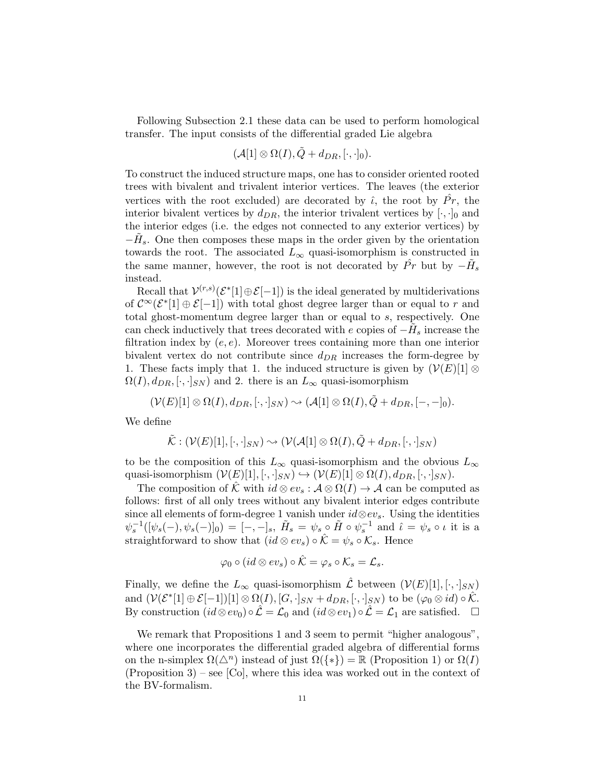Following Subsection 2.1 these data can be used to perform homological transfer. The input consists of the differential graded Lie algebra

$$
(\mathcal{A}[1]\otimes \Omega(I),\tilde{Q}+d_{DR},[\cdot,\cdot]_0).
$$

To construct the induced structure maps, one has to consider oriented rooted trees with bivalent and trivalent interior vertices. The leaves (the exterior vertices with the root excluded) are decorated by  $\hat{\iota}$ , the root by  $\hat{Pr}$ , the interior bivalent vertices by  $d_{DR}$ , the interior trivalent vertices by  $[\cdot, \cdot]_0$  and the interior edges (i.e. the edges not connected to any exterior vertices) by  $-\tilde{H}_s$ . One then composes these maps in the order given by the orientation towards the root. The associated  $L_{\infty}$  quasi-isomorphism is constructed in the same manner, however, the root is not decorated by  $\hat{Pr}$  but by  $-\tilde{H}_s$ instead.

Recall that  $\mathcal{V}^{(r,s)}(\mathcal{E}^*[1] \oplus \mathcal{E}[-1])$  is the ideal generated by multiderivations of  $\mathcal{C}^{\infty}(\mathcal{E}^*[1] \oplus \mathcal{E}[-1])$  with total ghost degree larger than or equal to r and total ghost-momentum degree larger than or equal to s, respectively. One can check inductively that trees decorated with e copies of  $-\tilde{H}_s$  increase the filtration index by  $(e, e)$ . Moreover trees containing more than one interior bivalent vertex do not contribute since  $d_{DR}$  increases the form-degree by 1. These facts imply that 1. the induced structure is given by  $(\mathcal{V}(E)[1] \otimes$  $\Omega(I), d_{DR}, [\cdot, \cdot]_{SN}$  and 2. there is an  $L_{\infty}$  quasi-isomorphism

$$
(\mathcal{V}(E)[1]\otimes \Omega(I), d_{DR}, [\cdot, \cdot]_{SN}) \sim \mathcal{A}[1]\otimes \Omega(I), \tilde{Q} + d_{DR}, [-, -]_0).
$$

We define

$$
\tilde{\mathcal{K}}: (\mathcal{V}(E)[1], [\cdot, \cdot]_{SN}) \sim (\mathcal{V}(\mathcal{A}[1] \otimes \Omega(I), \tilde{Q} + d_{DR}, [\cdot, \cdot]_{SN})
$$

to be the composition of this  $L_{\infty}$  quasi-isomorphism and the obvious  $L_{\infty}$ quasi-isomorphism  $(\mathcal{V}(E)[1], [\cdot, \cdot]_{SN}) \hookrightarrow (\mathcal{V}(E)[1] \otimes \Omega(I), d_{DR}, [\cdot, \cdot]_{SN}).$ 

The composition of  $\hat{\mathcal{K}}$  with  $id \otimes ev_s : \mathcal{A} \otimes \Omega(I) \to \mathcal{A}$  can be computed as follows: first of all only trees without any bivalent interior edges contribute since all elements of form-degree 1 vanish under  $id \otimes ev_s$ . Using the identities  $\psi_s^{-1}([\psi_s(-), \psi_s(-)]_0) = [-,-]_s, \tilde{H}_s = \psi_s \circ \tilde{H} \circ \psi_s^{-1}$  and  $\hat{\iota} = \psi_s \circ \iota$  it is a straightforward to show that  $(id \otimes ev_s) \circ \hat{\mathcal{K}} = \psi_s \circ \mathcal{K}_s$ . Hence

$$
\varphi_0 \circ (id \otimes ev_s) \circ \hat{\mathcal{K}} = \varphi_s \circ \mathcal{K}_s = \mathcal{L}_s.
$$

Finally, we define the  $L_{\infty}$  quasi-isomorphism  $\mathcal L$  between  $(\mathcal V(E)[1], [\cdot, \cdot]_{SN})$ and  $(\mathcal{V}(\mathcal{E}^*[1] \oplus \mathcal{E}[-1])[1] \otimes \Omega(I), [G, \cdot]_{SN} + d_{DR}, [\cdot, \cdot]_{SN})$  to be  $(\varphi_0 \otimes id) \circ \hat{\mathcal{K}}$ . By construction  $(id \otimes ev_0) \circ \mathcal{L} = \mathcal{L}_0$  and  $(id \otimes ev_1) \circ \mathcal{L} = \mathcal{L}_1$  are satisfied.  $\square$ 

We remark that Propositions 1 and 3 seem to permit "higher analogous", where one incorporates the differential graded algebra of differential forms on the n-simplex  $\Omega(\Delta^n)$  instead of just  $\Omega({*}) = \mathbb{R}$  (Proposition 1) or  $\Omega(I)$  $(Proposition 3)$  – see [Co], where this idea was worked out in the context of the BV-formalism.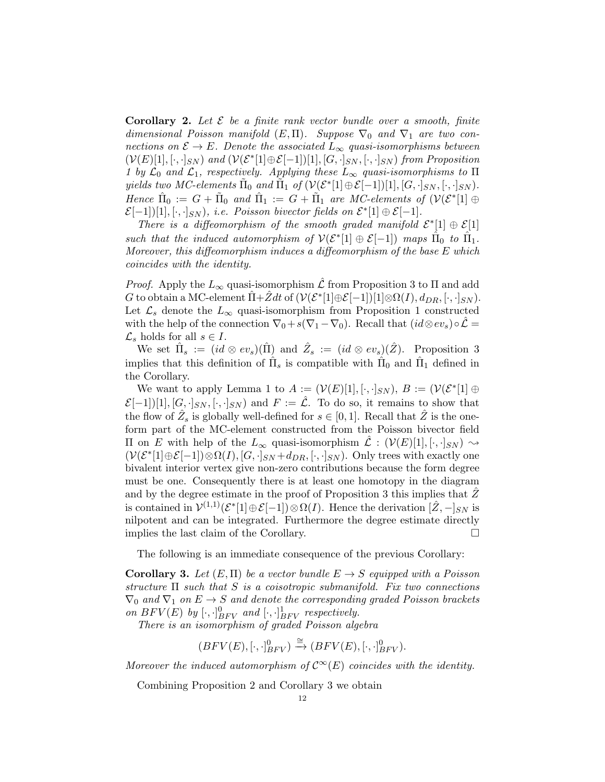**Corollary 2.** Let  $\mathcal{E}$  be a finite rank vector bundle over a smooth, finite dimensional Poisson manifold  $(E,\Pi)$ . Suppose  $\nabla_0$  and  $\nabla_1$  are two connections on  $\mathcal{E} \to E$ . Denote the associated  $L_{\infty}$  quasi-isomorphisms between  $(V(E)[1], [\cdot, \cdot]_{SN})$  and  $(V(\mathcal{E}^*[1]\oplus \mathcal{E}[-1])[1], [G, \cdot]_{SN}, [\cdot, \cdot]_{SN})$  from Proposition 1 by  $\mathcal{L}_0$  and  $\mathcal{L}_1$ , respectively. Applying these  $L_{\infty}$  quasi-isomorphisms to  $\Pi$ yields two MC-elements  $\tilde{\Pi}_0$  and  $\tilde{\Pi}_1$  of  $(\mathcal{V}(\mathcal{E}^*[1]\oplus \mathcal{E}[-1])[1], [G, \cdot]_{SN}, [\cdot, \cdot]_{SN}).$ Hence  $\hat{\Pi}_0 := G + \tilde{\Pi}_0$  and  $\hat{\Pi}_1 := G + \tilde{\Pi}_1$  are MC-elements of  $(\mathcal{V}(\mathcal{E}^*[\mathbb{1}] \oplus$  $\mathcal{E}[-1])[1], [\cdot, \cdot]_{SN}$ , i.e. Poisson bivector fields on  $\mathcal{E}^*[1] \oplus \mathcal{E}[-1]$ .

There is a diffeomorphism of the smooth graded manifold  $\mathcal{E}^*[1] \oplus \mathcal{E}[1]$ such that the induced automorphism of  $\mathcal{V}(\mathcal{E}^*[1] \oplus \mathcal{E}[-1])$  maps  $\hat{\Pi}_0$  to  $\hat{\Pi}_1$ . Moreover, this diffeomorphism induces a diffeomorphism of the base E which coincides with the identity.

*Proof.* Apply the  $L_{\infty}$  quasi-isomorphism  $\mathcal L$  from Proposition 3 to  $\Pi$  and add G to obtain a MC-element  $\hat{\Pi} + \hat{Z}dt$  of  $(\mathcal{V}(\mathcal{E}^*[1]\oplus \mathcal{E}[-1])[1]\otimes \Omega(I), d_{DR}, [\cdot, \cdot]_{SN})$ . Let  $\mathcal{L}_s$  denote the  $L_{\infty}$  quasi-isomorphism from Proposition 1 constructed with the help of the connection  $\nabla_0 + s(\nabla_1 - \nabla_0)$ . Recall that  $(id \otimes ev_s) \circ \mathcal{L} =$  $\mathcal{L}_s$  holds for all  $s \in I$ .

We set  $\hat{\Pi}_s := (id \otimes ev_s)(\hat{\Pi})$  and  $\hat{Z}_s := (id \otimes ev_s)(\hat{Z})$ . Proposition 3 implies that this definition of  $\hat{\Pi}_s$  is compatible with  $\hat{\Pi}_0$  and  $\hat{\Pi}_1$  defined in the Corollary.

We want to apply Lemma 1 to  $A := (\mathcal{V}(E)[1], [\cdot, \cdot]_{SN}), B := (\mathcal{V}(\mathcal{E}^*[1] \oplus$  $\mathcal{E}[-1][1], [G, \cdot]_{SN}, [\cdot, \cdot]_{SN}$  and  $F := \mathcal{L}$ . To do so, it remains to show that the flow of  $\hat{Z}_s$  is globally well-defined for  $s \in [0,1]$ . Recall that  $\hat{Z}$  is the oneform part of the MC-element constructed from the Poisson bivector field II on *E* with help of the  $L_{\infty}$  quasi-isomorphism  $\mathcal{L}$  : ( $V(E)[1], [⋅,⋅]_{SN}$ )  $\sim$  $(\mathcal{V}(\mathcal{E}^*[1]\oplus \mathcal{E}[-1])\otimes \Omega(I), [G, \cdot]_{SN}+d_{DR}, [\cdot, \cdot]_{SN})$ . Only trees with exactly one bivalent interior vertex give non-zero contributions because the form degree must be one. Consequently there is at least one homotopy in the diagram and by the degree estimate in the proof of Proposition 3 this implies that  $Z^{\dagger}$ is contained in  $\mathcal{V}^{(1,1)}(\mathcal{E}^*[1]\oplus \mathcal{E}[-1])\otimes \Omega(I)$ . Hence the derivation  $[\hat{Z}, -]_{SN}$  is nilpotent and can be integrated. Furthermore the degree estimate directly implies the last claim of the Corollary.

The following is an immediate consequence of the previous Corollary:

**Corollary 3.** Let  $(E, \Pi)$  be a vector bundle  $E \rightarrow S$  equipped with a Poisson structure  $\Pi$  such that  $S$  is a coisotropic submanifold. Fix two connections  $\nabla_0$  and  $\nabla_1$  on  $E \to S$  and denote the corresponding graded Poisson brackets on  $BFV(E)$  by  $[\cdot, \cdot]_{BFV}^{0}$  and  $[\cdot, \cdot]_{BFV}^{1}$  respectively.

There is an isomorphism of graded Poisson algebra

$$
(BFV(E), [\cdot, \cdot]_{BFV}^{0}) \xrightarrow{\cong} (BFV(E), [\cdot, \cdot]_{BFV}^{0}).
$$

Moreover the induced automorphism of  $\mathcal{C}^{\infty}(E)$  coincides with the identity.

Combining Proposition 2 and Corollary 3 we obtain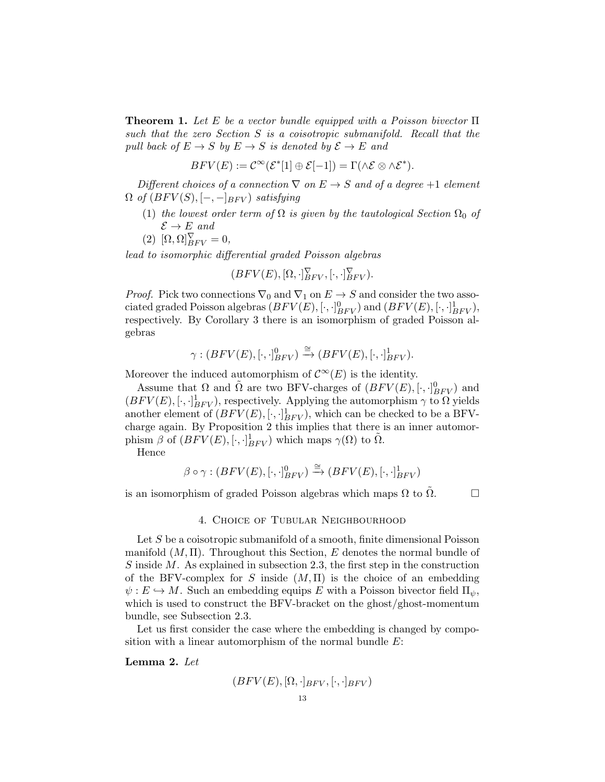**Theorem 1.** Let E be a vector bundle equipped with a Poisson bivector  $\Pi$ such that the zero Section S is a coisotropic submanifold. Recall that the pull back of  $E \to S$  by  $E \to S$  is denoted by  $\mathcal{E} \to E$  and

$$
BFV(E) := \mathcal{C}^{\infty}(\mathcal{E}^*[1] \oplus \mathcal{E}[-1]) = \Gamma(\wedge \mathcal{E} \otimes \wedge \mathcal{E}^*).
$$

Different choices of a connection  $\nabla$  on  $E \to S$  and of a degree +1 element  $\Omega$  of  $(BFV(S), [-,-]_{BFV})$  satisfying

- (1) the lowest order term of  $\Omega$  is given by the tautological Section  $\Omega_0$  of  $\mathcal{E} \to E$  and
- (2)  $[\Omega, \Omega]_{BFV}^{\nabla} = 0,$

lead to isomorphic differential graded Poisson algebras

$$
(BFV(E), [\Omega, \cdot]_{BFV}^{\nabla}, [\cdot, \cdot]_{BFV}^{\nabla}).
$$

*Proof.* Pick two connections  $\nabla_0$  and  $\nabla_1$  on  $E \to S$  and consider the two associated graded Poisson algebras  $(BFV(E), [\cdot, \cdot]_{BFV}^0)$  and  $(BFV(E), [\cdot, \cdot]_{BFV}^1)$ , respectively. By Corollary 3 there is an isomorphism of graded Poisson algebras

$$
\gamma: (BFV(E), [\cdot, \cdot]_{BFV}^{0}) \xrightarrow{\cong} (BFV(E), [\cdot, \cdot]_{BFV}^{1}).
$$

Moreover the induced automorphism of  $\mathcal{C}^{\infty}(E)$  is the identity.

Assume that  $\Omega$  and  $\tilde{\Omega}$  are two BFV-charges of  $(BFV(E), [\cdot, \cdot]_{BFV}^0)$  and  $(BFV(E), [\cdot, \cdot]_{BFV}^{1})$ , respectively. Applying the automorphism  $\gamma$  to  $\Omega$  yields another element of  $(BFV(E), [\cdot, \cdot]_{BFV}^1)$ , which can be checked to be a BFVcharge again. By Proposition 2 this implies that there is an inner automorphism  $\beta$  of  $(BFV(E), [\cdot, \cdot]_{BFV}^1)$  which maps  $\gamma(\Omega)$  to  $\tilde{\Omega}$ .

Hence

$$
\beta \circ \gamma : (BFV(E), [\cdot, \cdot]_{BFV}^{0}) \xrightarrow{\cong} (BFV(E), [\cdot, \cdot]_{BFV}^{1})
$$

is an isomorphism of graded Poisson algebras which maps  $\Omega$  to  $\tilde{\Omega}$ .  $\Box$ 

# 4. Choice of Tubular Neighbourhood

Let S be a coisotropic submanifold of a smooth, finite dimensional Poisson manifold  $(M, \Pi)$ . Throughout this Section, E denotes the normal bundle of S inside M. As explained in subsection 2.3, the first step in the construction of the BFV-complex for S inside  $(M, \Pi)$  is the choice of an embedding  $\psi: E \hookrightarrow M$ . Such an embedding equips E with a Poisson bivector field  $\Pi_{\psi}$ , which is used to construct the BFV-bracket on the ghost/ghost-momentum bundle, see Subsection 2.3.

Let us first consider the case where the embedding is changed by composition with a linear automorphism of the normal bundle  $E$ :

Lemma 2. Let

$$
(BFV(E), [\Omega, \cdot]_{BFV}, [\cdot, \cdot]_{BFV})
$$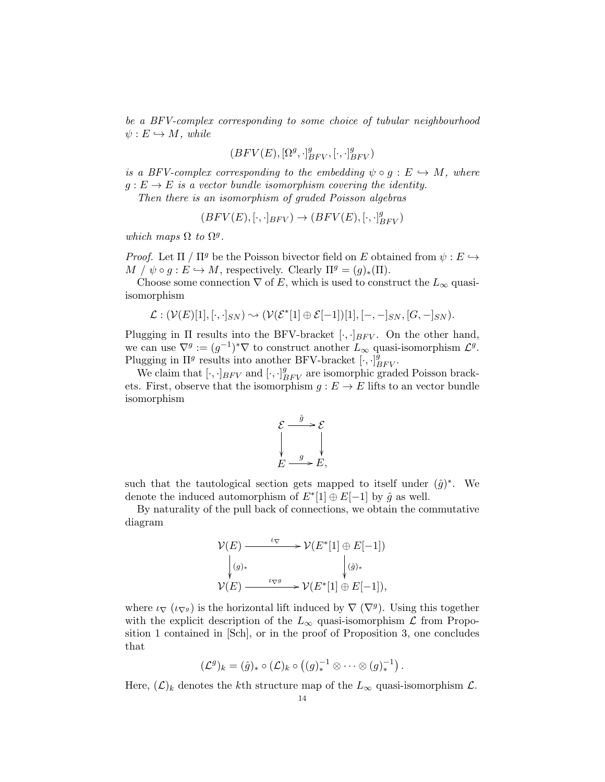be a BFV-complex corresponding to some choice of tubular neighbourhood  $\psi : E \hookrightarrow M$ , while

$$
(BFV(E), [\Omega^g, \cdot]_{BFV}^g, [\cdot, \cdot]_{BFV}^g)
$$

is a BFV-complex corresponding to the embedding  $\psi \circ g : E \hookrightarrow M$ , where  $q: E \to E$  is a vector bundle isomorphism covering the identity.

Then there is an isomorphism of graded Poisson algebras

$$
(BFV(E), [\cdot, \cdot]_{BFV}) \rightarrow (BFV(E), [\cdot, \cdot]_{BFV}^{g})
$$

which maps  $\Omega$  to  $\Omega^g$ .

*Proof.* Let  $\Pi / \Pi^g$  be the Poisson bivector field on E obtained from  $\psi : E \hookrightarrow$  $M / \psi \circ g : E \hookrightarrow M$ , respectively. Clearly  $\Pi^g = (g)_*(\Pi)$ .

Choose some connection  $\nabla$  of E, which is used to construct the  $L_{\infty}$  quasiisomorphism

$$
\mathcal{L}: (\mathcal{V}(E)[1], [\cdot, \cdot]_{SN}) \sim (\mathcal{V}(\mathcal{E}^*[1] \oplus \mathcal{E}[-1])[1], [-, -]_{SN}, [G, -]_{SN}).
$$

Plugging in  $\Pi$  results into the BFV-bracket  $[\cdot, \cdot]_{BFV}$ . On the other hand, we can use  $\nabla^g := (g^{-1})^* \nabla$  to construct another  $L_\infty$  quasi-isomorphism  $\mathcal{L}^g$ . Plugging in  $\Pi^g$  results into another BFV-bracket  $[\cdot, \cdot]_{BFV}^{\hat{g}}$ .

We claim that  $[\cdot, \cdot]_{BFV}$  and  $[\cdot, \cdot]_{BFV}^g$  are isomorphic graded Poisson brackets. First, observe that the isomorphism  $g : E \to E$  lifts to an vector bundle isomorphism



such that the tautological section gets mapped to itself under  $(\hat{g})^*$ . We denote the induced automorphism of  $E^*[1] \oplus E[-1]$  by  $\hat{g}$  as well.

By naturality of the pull back of connections, we obtain the commutative diagram

$$
\mathcal{V}(E) \longrightarrow^{\iota_{\nabla}} \mathcal{V}(E^*[1] \oplus E[-1])
$$
  
\n
$$
\downarrow^{(g)_*} \qquad \qquad \downarrow^{(g)_*}
$$
  
\n
$$
\mathcal{V}(E) \longrightarrow^{\iota_{\nabla^g}} \mathcal{V}(E^*[1] \oplus E[-1]),
$$

where  $\iota_{\nabla}(\iota_{\nabla^g})$  is the horizontal lift induced by  $\nabla(\nabla^g)$ . Using this together with the explicit description of the  $L_{\infty}$  quasi-isomorphism  $\mathcal L$  from Proposition 1 contained in [Sch], or in the proof of Proposition 3, one concludes that

$$
(\mathcal{L}^g)_k = (\hat{g})_* \circ (\mathcal{L})_k \circ ((g)^{-1}_* \otimes \cdots \otimes (g)^{-1}_*).
$$

Here,  $(\mathcal{L})_k$  denotes the kth structure map of the  $L_{\infty}$  quasi-isomorphism  $\mathcal{L}$ .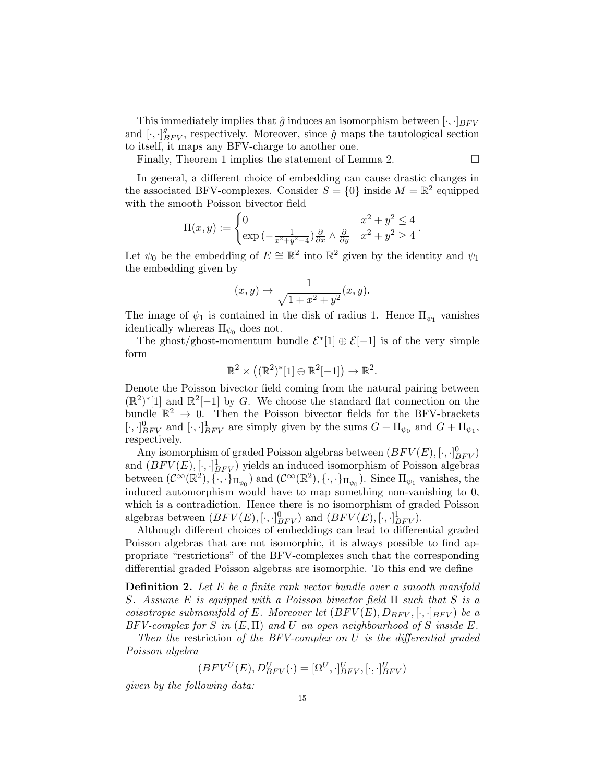This immediately implies that  $\hat{g}$  induces an isomorphism between  $[\cdot, \cdot]_{BFV}$ and  $[\cdot, \cdot]_{BFV}^g$ , respectively. Moreover, since  $\hat{g}$  maps the tautological section to itself, it maps any BFV-charge to another one.

Finally, Theorem 1 implies the statement of Lemma 2.

In general, a different choice of embedding can cause drastic changes in the associated BFV-complexes. Consider  $S = \{0\}$  inside  $M = \mathbb{R}^2$  equipped with the smooth Poisson bivector field

$$
\Pi(x,y) := \begin{cases} 0 & x^2 + y^2 \le 4 \\ \exp\left(-\frac{1}{x^2 + y^2 - 4}\right) \frac{\partial}{\partial x} \wedge \frac{\partial}{\partial y} & x^2 + y^2 \ge 4 \end{cases}.
$$

Let  $\psi_0$  be the embedding of  $E \cong \mathbb{R}^2$  into  $\mathbb{R}^2$  given by the identity and  $\psi_1$ the embedding given by

$$
(x,y)\mapsto \frac{1}{\sqrt{1+x^2+y^2}}(x,y).
$$

The image of  $\psi_1$  is contained in the disk of radius 1. Hence  $\Pi_{\psi_1}$  vanishes identically whereas  $\Pi_{\psi_0}$  does not.

The ghost/ghost-momentum bundle  $\mathcal{E}^*[1] \oplus \mathcal{E}[-1]$  is of the very simple form

$$
\mathbb{R}^2 \times ((\mathbb{R}^2)^*[1] \oplus \mathbb{R}^2[-1]) \to \mathbb{R}^2.
$$

Denote the Poisson bivector field coming from the natural pairing between  $(\mathbb{R}^2)^*$ [1] and  $\mathbb{R}^2$ [-1] by G. We choose the standard flat connection on the bundle  $\mathbb{R}^2 \to 0$ . Then the Poisson bivector fields for the BFV-brackets  $[\cdot,\cdot]_{BFV}^0$  and  $[\cdot,\cdot]_{BFV}^1$  are simply given by the sums  $G + \Pi_{\psi_0}$  and  $G + \Pi_{\psi_1}$ , respectively.

Any isomorphism of graded Poisson algebras between  $(BFV(E), [\cdot , \cdot ]_{BFV}^0)$ and  $(BFV(E), [\cdot, \cdot]_{BFV}^1)$  yields an induced isomorphism of Poisson algebras between  $(\mathcal{C}^{\infty}(\mathbb{R}^2), \{\cdot,\cdot\}_{\Pi_{\psi_0}})$  and  $(\mathcal{C}^{\infty}(\mathbb{R}^2), \{\cdot,\cdot\}_{\Pi_{\psi_0}})$ . Since  $\Pi_{\psi_1}$  vanishes, the induced automorphism would have to map something non-vanishing to 0, which is a contradiction. Hence there is no isomorphism of graded Poisson algebras between  $(BFV(E), [\cdot, \cdot]_{BFV}^0)$  and  $(BFV(E), [\cdot, \cdot]_{BFV}^1)$ .

Although different choices of embeddings can lead to differential graded Poisson algebras that are not isomorphic, it is always possible to find appropriate "restrictions" of the BFV-complexes such that the corresponding differential graded Poisson algebras are isomorphic. To this end we define

**Definition 2.** Let  $E$  be a finite rank vector bundle over a smooth manifold S. Assume E is equipped with a Poisson bivector field  $\Pi$  such that S is a coisotropic submanifold of E. Moreover let  $(BFV(E), D_{BFV}, [\cdot, \cdot]_{BFV})$  be a  $BFV-complex$  for S in  $(E,\Pi)$  and U an open neighbourhood of S inside E.

Then the restriction of the BFV-complex on U is the differential graded Poisson algebra

$$
(BFV^U(E), D_{BFV}^U(\cdot) = [\Omega^U, \cdot]_{BFV}^U, [\cdot, \cdot]_{BFV}^U)
$$

given by the following data: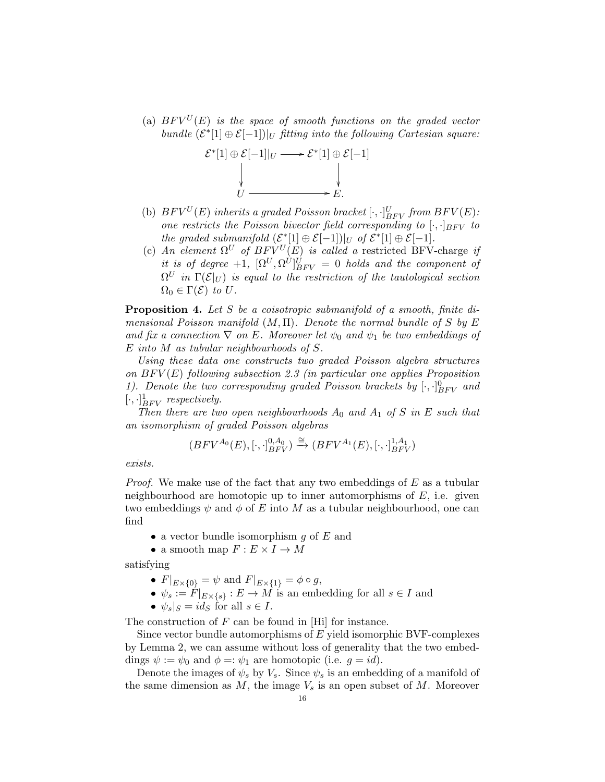(a)  $BFV^{U}(E)$  is the space of smooth functions on the graded vector bundle  $(\mathcal{E}^*[1] \oplus \mathcal{E}[-1])|_U$  fitting into the following Cartesian square:



- (b)  $BFV^U(E)$  inherits a graded Poisson bracket  $[\cdot, \cdot]_{BFV}^U$  from  $BFV(E)$ : one restricts the Poisson bivector field corresponding to  $[\cdot, \cdot]_{BFV}$  to the graded submanifold  $(\mathcal{E}^*[1] \oplus \mathcal{E}[-1])|_U$  of  $\mathcal{E}^*[1] \oplus \mathcal{E}[-1]$ .
- (c) An element  $\Omega^U$  of  $BFV^U(E)$  is called a restricted BFV-charge if it is of degree +1,  $[\Omega^U, \Omega^U]_{BFV}^U = 0$  holds and the component of  $\Omega^U$  in  $\Gamma(\mathcal E \vert_U)$  is equal to the restriction of the tautological section  $\Omega_0 \in \Gamma(\mathcal{E})$  to U.

Proposition 4. Let S be a coisotropic submanifold of a smooth, finite dimensional Poisson manifold  $(M, \Pi)$ . Denote the normal bundle of S by E and fix a connection  $\nabla$  on E. Moreover let  $\psi_0$  and  $\psi_1$  be two embeddings of E into M as tubular neighbourhoods of S.

Using these data one constructs two graded Poisson algebra structures on  $BFV(E)$  following subsection 2.3 (in particular one applies Proposition 1). Denote the two corresponding graded Poisson brackets by  $[\cdot, \cdot]_{BFV}^{0}$  and  $[\cdot, \cdot]_{BFV}^1$  respectively.

Then there are two open neighbourhoods  $A_0$  and  $A_1$  of S in E such that an isomorphism of graded Poisson algebras

$$
(BFV^{A_0}(E), [\cdot, \cdot]_{BFV}^{0, A_0}) \xrightarrow{\cong} (BFV^{A_1}(E), [\cdot, \cdot]_{BFV}^{1, A_1})
$$

exists.

*Proof.* We make use of the fact that any two embeddings of  $E$  as a tubular neighbourhood are homotopic up to inner automorphisms of  $E$ , i.e. given two embeddings  $\psi$  and  $\phi$  of E into M as a tubular neighbourhood, one can find

- a vector bundle isomorphism  $g$  of  $E$  and
- a smooth map  $F: E \times I \to M$

satisfying

- $F|_{E\times\{0\}} = \psi$  and  $F|_{E\times\{1\}} = \phi \circ g$ ,
- $\psi_s := F|_{E\times\{s\}} : E \to M$  is an embedding for all  $s \in I$  and
- $\psi_s|_S = id_S$  for all  $s \in I$ .

The construction of  $F$  can be found in [Hi] for instance.

Since vector bundle automorphisms of  $E$  yield isomorphic BVF-complexes by Lemma 2, we can assume without loss of generality that the two embeddings  $\psi := \psi_0$  and  $\phi = \psi_1$  are homotopic (i.e.  $q = id$ ).

Denote the images of  $\psi_s$  by  $V_s$ . Since  $\psi_s$  is an embedding of a manifold of the same dimension as  $M$ , the image  $V_s$  is an open subset of  $M$ . Moreover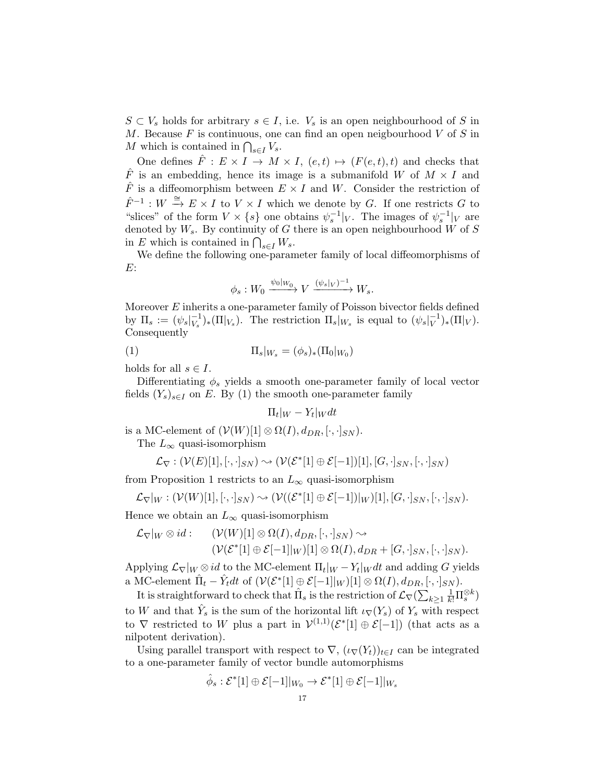$S \subset V_s$  holds for arbitrary  $s \in I$ , i.e.  $V_s$  is an open neighbourhood of S in M. Because  $F$  is continuous, one can find an open neigbourhood  $V$  of  $S$  in M which is contained in  $\bigcap_{s\in I} V_s$ .

One defines  $\hat{F}: E \times I \to M \times I$ ,  $(e, t) \mapsto (F(e, t), t)$  and checks that  $\hat{F}$  is an embedding, hence its image is a submanifold W of  $M \times I$  and  $\hat{F}$  is a diffeomorphism between  $E \times I$  and W. Consider the restriction of  $\hat{F}^{-1}: W \stackrel{\cong}{\to} E \times I$  to  $V \times I$  which we denote by G. If one restricts G to "slices" of the form  $V \times \{s\}$  one obtains  $\psi_s^{-1}|_V$ . The images of  $\psi_s^{-1}|_V$  are denoted by  $W_s$ . By continuity of G there is an open neighbourhood W of S in E which is contained in  $\bigcap_{s\in I} W_s$ .

We define the following one-parameter family of local diffeomorphisms of E:

$$
\phi_s: W_0 \xrightarrow{\psi_0|_{W_0}} V \xrightarrow{(\psi_s|_V)^{-1}} W_s.
$$

Moreover  $E$  inherits a one-parameter family of Poisson bivector fields defined by  $\Pi_s := (\psi_s|_{V_s}^{-1})$  $\binom{-1}{V_s}$  ( $\Pi|_{V_s}$ ). The restriction  $\Pi_s|_{W_s}$  is equal to  $(\psi_s|_{V}^{-1})$  $(V^{-1})_* (\Pi|_V).$ Consequently

(1)  $\Pi_s|_{W_s} = (\phi_s)_*(\Pi_0|_{W_0})$ 

holds for all  $s \in I$ .

Differentiating  $\phi_s$  yields a smooth one-parameter family of local vector fields  $(Y_s)_{s\in I}$  on E. By (1) the smooth one-parameter family

$$
\Pi_t|_W - Y_t|_W dt
$$

is a MC-element of  $(\mathcal{V}(W)[1] \otimes \Omega(I), d_{DR}, [\cdot, \cdot]_{SN})$ .

The  $L_{\infty}$  quasi-isomorphism

$$
\mathcal{L}_{\nabla} : (\mathcal{V}(E)[1],[\cdot,\cdot]_{SN}) \leadsto (\mathcal{V}(\mathcal{E}^*[1] \oplus \mathcal{E}[-1])[1],[G,\cdot]_{SN},[\cdot,\cdot]_{SN})
$$

from Proposition 1 restricts to an  $L_{\infty}$  quasi-isomorphism

$$
\mathcal{L}_{\nabla}|_W: (\mathcal{V}(W)[1],[\cdot,\cdot]_{SN}) \sim (\mathcal{V}((\mathcal{E}^*[1] \oplus \mathcal{E}[-1])|_W)[1],[G,\cdot]_{SN},[\cdot,\cdot]_{SN}).
$$

Hence we obtain an  $L_{\infty}$  quasi-isomorphism

$$
\mathcal{L}_{\nabla}|_W \otimes id: \qquad (\mathcal{V}(W)[1] \otimes \Omega(I), d_{DR}, [\cdot, \cdot]_{SN}) \sim (\mathcal{V}(\mathcal{E}^*[1] \oplus \mathcal{E}[-1]|_W)[1] \otimes \Omega(I), d_{DR} + [G, \cdot]_{SN}, [\cdot, \cdot]_{SN}).
$$

Applying  $\mathcal{L}_{\nabla}|_W \otimes id$  to the MC-element  $\Pi_t|_W - Y_t|_W dt$  and adding G yields a MC-element  $\hat{\Pi}_t - \hat{Y}_t dt$  of  $(\mathcal{V}(\mathcal{E}^*[1] \oplus \mathcal{E}[-1]|_W)[1] \otimes \Omega(I), d_{DR}, [\cdot, \cdot]_{SN})$ .

It is straightforward to check that  $\hat{\Pi}_s$  is the restriction of  $\mathcal{L}_{\nabla}(\sum_{k\geq 1} \frac{1}{k!}\Pi_s^{\otimes k})$ to W and that  $\hat{Y}_s$  is the sum of the horizontal lift  $\iota_{\nabla}(Y_s)$  of  $Y_s$  with respect to  $\nabla$  restricted to W plus a part in  $\mathcal{V}^{(1,1)}(\mathcal{E}^*[1] \oplus \mathcal{E}[-1])$  (that acts as a nilpotent derivation).

Using parallel transport with respect to  $\nabla$ ,  $(\iota_{\nabla}(Y_t))_{t\in I}$  can be integrated to a one-parameter family of vector bundle automorphisms

$$
\hat{\phi}_s : \mathcal{E}^*[1] \oplus \mathcal{E}[-1]|_{W_0} \to \mathcal{E}^*[1] \oplus \mathcal{E}[-1]|_{W_s}
$$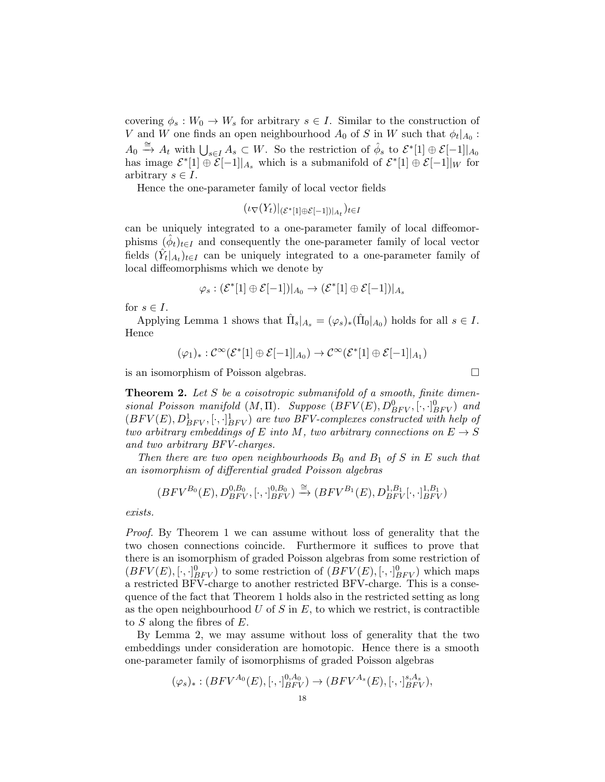covering  $\phi_s: W_0 \to W_s$  for arbitrary  $s \in I$ . Similar to the construction of V and W one finds an open neighbourhood  $A_0$  of S in W such that  $\phi_t|_{A_0}$ :  $A_0 \stackrel{\cong}{\to} A_t$  with  $\bigcup_{s \in I} A_s \subset W$ . So the restriction of  $\hat{\phi}_s$  to  $\mathcal{E}^*[1] \oplus \mathcal{E}[-1]|_{A_0}$ has image  $\mathcal{E}^*[1] \oplus \widetilde{\mathcal{E}}[-1]|_{A_s}$  which is a submanifold of  $\mathcal{E}^*[1] \oplus \mathcal{E}[-1]|_{W}$  for arbitrary  $s \in I$ .

Hence the one-parameter family of local vector fields

$$
(\iota_{\nabla}(Y_t)|_{(\mathcal{E}^*[1]\oplus \mathcal{E}[-1])|_{A_t}})_{t\in I}
$$

can be uniquely integrated to a one-parameter family of local diffeomorphisms  $(\hat{\phi}_t)_{t\in I}$  and consequently the one-parameter family of local vector fields  $(\hat{Y}_t|_{A_t})_{t\in I}$  can be uniquely integrated to a one-parameter family of local diffeomorphisms which we denote by

$$
\varphi_s: (\mathcal{E}^*[1] \oplus \mathcal{E}[-1])|_{A_0} \to (\mathcal{E}^*[1] \oplus \mathcal{E}[-1])|_{A_s}
$$

for  $s \in I$ .

Applying Lemma 1 shows that  $\hat{\Pi}_s|_{A_s} = (\varphi_s)_*(\hat{\Pi}_0|_{A_0})$  holds for all  $s \in I$ . Hence

$$
(\varphi_1)_*: \mathcal{C}^\infty(\mathcal{E}^*[1] \oplus \mathcal{E}[-1]|_{A_0}) \to \mathcal{C}^\infty(\mathcal{E}^*[1] \oplus \mathcal{E}[-1]|_{A_1})
$$

is an isomorphism of Poisson algebras.

**Theorem 2.** Let S be a coisotropic submanifold of a smooth, finite dimensional Poisson manifold  $(M, \Pi)$ . Suppose  $(BFV(E), D_{BFV}^0, [\cdot, \cdot]_{BFV}^0)$  and  $(BFV(E), D<sub>BFV</sub><sup>1</sup>, [\cdot, \cdot]<sub>BFV</sub><sup>1</sup>$  are two BFV-complexes constructed with help of two arbitrary embeddings of E into M, two arbitrary connections on  $E \to S$ and two arbitrary BFV-charges.

Then there are two open neighbourhoods  $B_0$  and  $B_1$  of S in E such that an isomorphism of differential graded Poisson algebras

$$
(BFV^{B_0}(E), D_{BFV}^{0,B_0}, [\cdot, \cdot]_{BFV}^{0,B_0}) \xrightarrow{\cong} (BFV^{B_1}(E), D_{BFV}^{1,B_1}[\cdot, \cdot]_{BFV}^{1,B_1})
$$

exists.

Proof. By Theorem 1 we can assume without loss of generality that the two chosen connections coincide. Furthermore it suffices to prove that there is an isomorphism of graded Poisson algebras from some restriction of  $(BFV(E), [\cdot, \cdot]_{BFV}^0)$  to some restriction of  $(BFV(E), [\cdot, \cdot]_{BFV}^0)$  which maps a restricted BFV-charge to another restricted BFV-charge. This is a consequence of the fact that Theorem 1 holds also in the restricted setting as long as the open neighbourhood  $U$  of  $S$  in  $E$ , to which we restrict, is contractible to S along the fibres of E.

By Lemma 2, we may assume without loss of generality that the two embeddings under consideration are homotopic. Hence there is a smooth one-parameter family of isomorphisms of graded Poisson algebras

$$
(\varphi_s)_*: (BFV^{A_0}(E), [\cdot, \cdot]_{BFV}^{0, A_0}) \to (BFV^{A_s}(E), [\cdot, \cdot]_{BFV}^{s, A_s}),
$$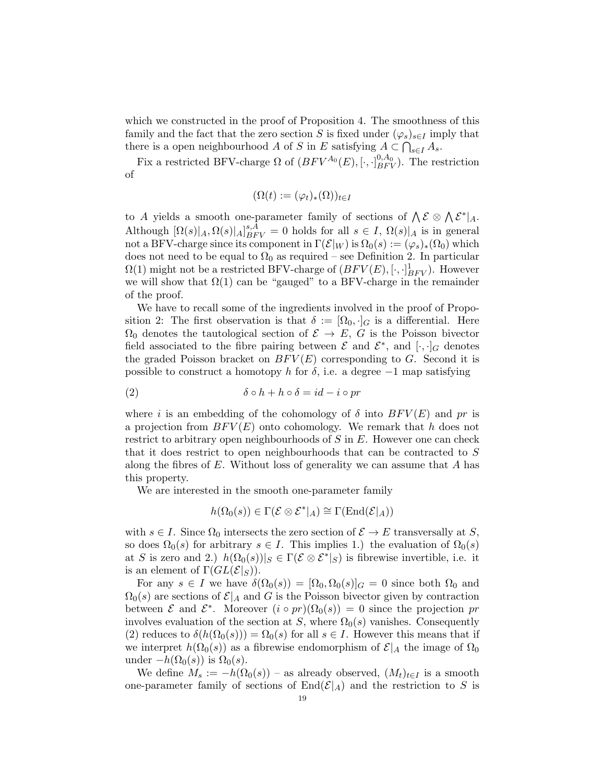which we constructed in the proof of Proposition 4. The smoothness of this family and the fact that the zero section S is fixed under  $(\varphi_s)_{s\in I}$  imply that there is a open neighbourhood A of S in E satisfying  $A \subset \bigcap_{s \in I} A_s$ .

Fix a restricted BFV-charge  $\Omega$  of  $(BFV^{A_0}(E), [\cdot, \cdot]_{BFV}^{0, A_0})$ . The restriction of

$$
(\Omega(t) := (\varphi_t)_*(\Omega))_{t \in I}
$$

to A yields a smooth one-parameter family of sections of  $\bigwedge \mathcal{E} \otimes \bigwedge \mathcal{E}^*|_A$ . Although  $[\Omega(s)|_A, \Omega(s)|_A]_{BFV}^{s,A} = 0$  holds for all  $s \in I$ ,  $\Omega(s)|_A$  is in general not a BFV-charge since its component in  $\Gamma(\mathcal{E}|_W)$  is  $\Omega_0(s) := (\varphi_s)_*(\Omega_0)$  which does not need to be equal to  $\Omega_0$  as required – see Definition 2. In particular  $\Omega(1)$  might not be a restricted BFV-charge of  $(BFV(E), [\cdot, \cdot]_{BFV}^1)$ . However we will show that  $\Omega(1)$  can be "gauged" to a BFV-charge in the remainder of the proof.

We have to recall some of the ingredients involved in the proof of Proposition 2: The first observation is that  $\delta := [\Omega_0, \cdot]_G$  is a differential. Here  $\Omega_0$  denotes the tautological section of  $\mathcal{E} \to E$ , G is the Poisson bivector field associated to the fibre pairing between  $\mathcal E$  and  $\mathcal E^*$ , and  $[\cdot, \cdot]_G$  denotes the graded Poisson bracket on  $BFV(E)$  corresponding to G. Second it is possible to construct a homotopy h for  $\delta$ , i.e. a degree  $-1$  map satisfying

(2) 
$$
\delta \circ h + h \circ \delta = id - i \circ pr
$$

where i is an embedding of the cohomology of  $\delta$  into  $BFV(E)$  and pr is a projection from  $BFV(E)$  onto cohomology. We remark that h does not restrict to arbitrary open neighbourhoods of  $S$  in  $E$ . However one can check that it does restrict to open neighbourhoods that can be contracted to S along the fibres of  $E$ . Without loss of generality we can assume that  $A$  has this property.

We are interested in the smooth one-parameter family

$$
h(\Omega_0(s)) \in \Gamma(\mathcal{E} \otimes \mathcal{E}^*|_A) \cong \Gamma(\text{End}(\mathcal{E}|_A))
$$

with  $s \in I$ . Since  $\Omega_0$  intersects the zero section of  $\mathcal{E} \to E$  transversally at S, so does  $\Omega_0(s)$  for arbitrary  $s \in I$ . This implies 1.) the evaluation of  $\Omega_0(s)$ at S is zero and 2.)  $h(\Omega_0(s))|_S \in \Gamma(\mathcal{E} \otimes \mathcal{E}^*|_S)$  is fibrewise invertible, i.e. it is an element of  $\Gamma(GL(\mathcal{E}|_S))$ .

For any  $s \in I$  we have  $\delta(\Omega_0(s)) = [\Omega_0, \Omega_0(s)]_G = 0$  since both  $\Omega_0$  and  $\Omega_0(s)$  are sections of  $\mathcal{E}|_A$  and G is the Poisson bivector given by contraction between  $\mathcal E$  and  $\mathcal E^*$ . Moreover  $(i \circ pr)(\Omega_0(s)) = 0$  since the projection pr involves evaluation of the section at S, where  $\Omega_0(s)$  vanishes. Consequently (2) reduces to  $\delta(h(\Omega_0(s))) = \Omega_0(s)$  for all  $s \in I$ . However this means that if we interpret  $h(\Omega_0(s))$  as a fibrewise endomorphism of  $\mathcal{E}|_A$  the image of  $\Omega_0$ under  $-h(\Omega_0(s))$  is  $\Omega_0(s)$ .

We define  $M_s := -h(\Omega_0(s))$  – as already observed,  $(M_t)_{t \in I}$  is a smooth one-parameter family of sections of  $End(\mathcal{E}|_A)$  and the restriction to S is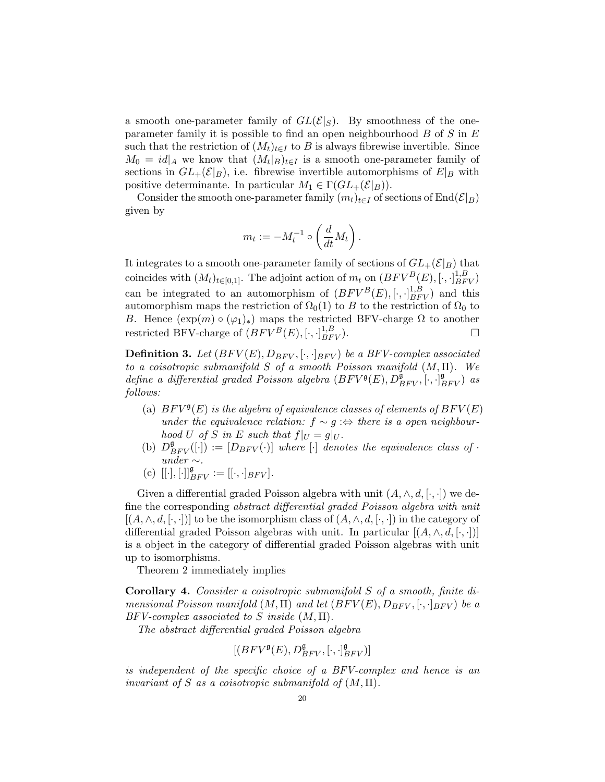a smooth one-parameter family of  $GL(\mathcal{E}|_S)$ . By smoothness of the oneparameter family it is possible to find an open neighbourhood  $B$  of  $S$  in  $E$ such that the restriction of  $(M_t)_{t\in I}$  to B is always fibrewise invertible. Since  $M_0 = id|_A$  we know that  $(M_t|_B)_{t \in I}$  is a smooth one-parameter family of sections in  $GL_{+}(\mathcal{E}|_{B})$ , i.e. fibrewise invertible automorphisms of  $E|_{B}$  with positive determinante. In particular  $M_1 \in \Gamma(GL_+(\mathcal{E}|_B)).$ 

Consider the smooth one-parameter family  $(m_t)_{t\in I}$  of sections of End $(\mathcal{E}|_B)$ given by

$$
m_t := -M_t^{-1} \circ \left(\frac{d}{dt}M_t\right).
$$

It integrates to a smooth one-parameter family of sections of  $GL_+(\mathcal{E}|_B)$  that coincides with  $(M_t)_{t \in [0,1]}$ . The adjoint action of  $m_t$  on  $(BFV^B(E), [\cdot, \cdot]_{BFV}^{1,B})$ can be integrated to an automorphism of  $(BFV^B(E), [\cdot, \cdot]_{BFV}^{1,B})$  and this automorphism maps the restriction of  $\Omega_0(1)$  to B to the restriction of  $\Omega_0$  to B. Hence  $(\exp(m) \circ (\varphi_1)_*)$  maps the restricted BFV-charge  $\Omega$  to another restricted BFV-charge of  $(BFV^B(E), [\cdot, \cdot]_{BFV}^{1,B})$ .

**Definition 3.** Let  $(BFV(E), D_{BFV}, [\cdot, \cdot]_{BFV})$  be a BFV-complex associated to a coisotropic submanifold S of a smooth Poisson manifold  $(M, \Pi)$ . We define a differential graded Poisson algebra  $(BFV<sup>g</sup>(E), D<sup>g</sup><sub>BFV</sub>, [\cdot, \cdot]<sup>g</sup><sub>BFV</sub>)$  as follows:

- (a)  $BFV^{\mathfrak{g}}(E)$  is the algebra of equivalence classes of elements of  $BFV(E)$ under the equivalence relation:  $f \sim g$  : $\Leftrightarrow$  there is a open neighbourhood U of S in E such that  $f|_U = g|_U$ .
- (b)  $D_{BFV}^{\mathfrak{g}}([\cdot]) := [D_{BFV}(\cdot)]$  where  $[\cdot]$  denotes the equivalence class of  $\cdot$ under  $\sim$ .
- (c)  $[[\cdot], [\cdot]]_{BFV}^{\mathfrak{g}}:=[[\cdot, \cdot]_{BFV}].$

Given a differential graded Poisson algebra with unit  $(A, \wedge, d, [\cdot, \cdot])$  we define the corresponding abstract differential graded Poisson algebra with unit  $[(A, \wedge, d, [\cdot, \cdot])]$  to be the isomorphism class of  $(A, \wedge, d, [\cdot, \cdot])$  in the category of differential graded Poisson algebras with unit. In particular  $[(A, \wedge, d, [\cdot, \cdot])]$ is a object in the category of differential graded Poisson algebras with unit up to isomorphisms.

Theorem 2 immediately implies

Corollary 4. Consider a coisotropic submanifold S of a smooth, finite dimensional Poisson manifold  $(M, \Pi)$  and let  $(BFV(E), D_{BFV}, [\cdot, \cdot]_{BFV})$  be a  $BFV-complete associated to S inside (M, \Pi).$ 

The abstract differential graded Poisson algebra

$$
[(BFV^\mathfrak{g}(E),D_{BFV}^\mathfrak{g},[\cdot,\cdot]_{BFV}^\mathfrak{g})]
$$

is independent of the specific choice of a BFV-complex and hence is an invariant of S as a coisotropic submanifold of  $(M, \Pi)$ .